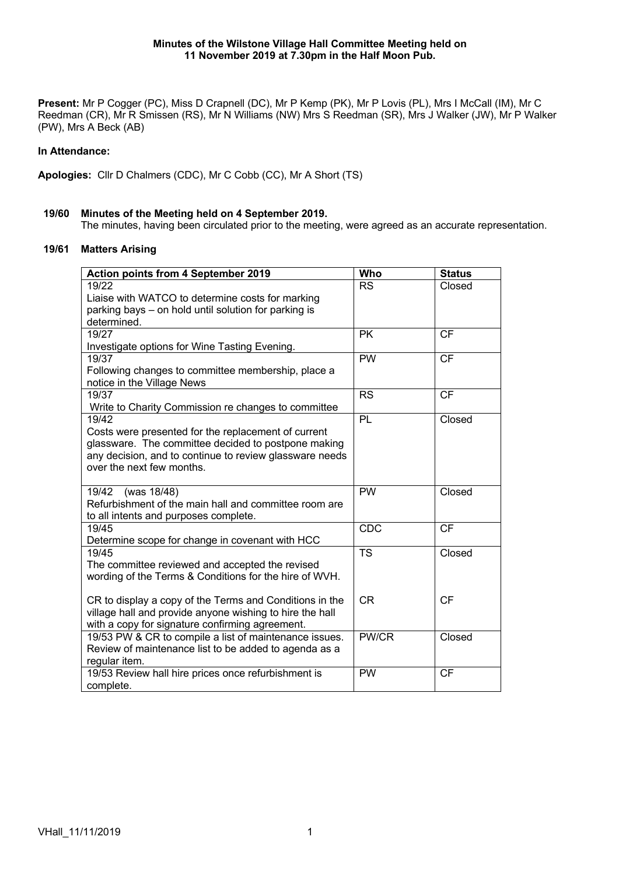Present: Mr P Cogger (PC), Miss D Crapnell (DC), Mr P Kemp (PK), Mr P Lovis (PL), Mrs I McCall (IM), Mr C Reedman (CR), Mr R Smissen (RS), Mr N Williams (NW) Mrs S Reedman (SR), Mrs J Walker (JW), Mr P Walker (PW), Mrs A Beck (AB)

# **In Attendance:**

**Apologies:** Cllr D Chalmers (CDC), Mr C Cobb (CC), Mr A Short (TS)

## **19/60 Minutes of the Meeting held on 4 September 2019.**

The minutes, having been circulated prior to the meeting, were agreed as an accurate representation.

# **19/61 Matters Arising**

| Action points from 4 September 2019                      | Who        | <b>Status</b> |
|----------------------------------------------------------|------------|---------------|
| 19/22                                                    | <b>RS</b>  | Closed        |
| Liaise with WATCO to determine costs for marking         |            |               |
| parking bays – on hold until solution for parking is     |            |               |
| determined.                                              |            |               |
| 19/27                                                    | <b>PK</b>  | CF            |
| Investigate options for Wine Tasting Evening.            |            |               |
| 19/37                                                    | <b>PW</b>  | CF            |
| Following changes to committee membership, place a       |            |               |
| notice in the Village News                               |            |               |
| 19/37                                                    | <b>RS</b>  | <b>CF</b>     |
| Write to Charity Commission re changes to committee      |            |               |
| 19/42                                                    | PL         | Closed        |
| Costs were presented for the replacement of current      |            |               |
| glassware. The committee decided to postpone making      |            |               |
| any decision, and to continue to review glassware needs  |            |               |
| over the next few months.                                |            |               |
| 19/42<br>(was 18/48)                                     | <b>PW</b>  | Closed        |
| Refurbishment of the main hall and committee room are    |            |               |
| to all intents and purposes complete.                    |            |               |
| 19/45                                                    | <b>CDC</b> | <b>CF</b>     |
| Determine scope for change in covenant with HCC          |            |               |
| 19/45                                                    | <b>TS</b>  | Closed        |
| The committee reviewed and accepted the revised          |            |               |
| wording of the Terms & Conditions for the hire of WVH.   |            |               |
|                                                          |            |               |
| CR to display a copy of the Terms and Conditions in the  | <b>CR</b>  | <b>CF</b>     |
| village hall and provide anyone wishing to hire the hall |            |               |
| with a copy for signature confirming agreement.          |            |               |
| 19/53 PW & CR to compile a list of maintenance issues.   | PW/CR      | Closed        |
| Review of maintenance list to be added to agenda as a    |            |               |
| regular item.                                            |            |               |
| 19/53 Review hall hire prices once refurbishment is      | <b>PW</b>  | <b>CF</b>     |
| complete.                                                |            |               |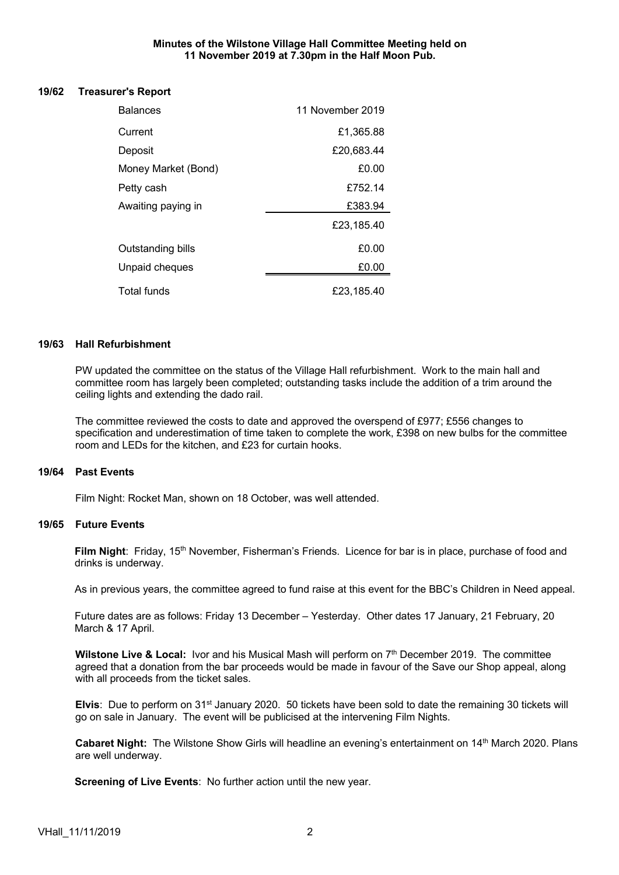## **Minutes of the Wilstone Village Hall Committee Meeting held on 11 November 2019 at 7.30pm in the Half Moon Pub.**

#### **19/62 Treasurer's Report**

| <b>Balances</b>          | 11 November 2019 |
|--------------------------|------------------|
| Current                  | £1,365.88        |
| Deposit                  | £20,683.44       |
| Money Market (Bond)      | £0.00            |
| Petty cash               | £752.14          |
| Awaiting paying in       | £383.94          |
|                          | £23,185.40       |
| <b>Outstanding bills</b> | £0.00            |
| Unpaid cheques           | £0.00            |
| Total funds              | £23.185.40       |

#### **19/63 Hall Refurbishment**

PW updated the committee on the status of the Village Hall refurbishment. Work to the main hall and committee room has largely been completed; outstanding tasks include the addition of a trim around the ceiling lights and extending the dado rail.

The committee reviewed the costs to date and approved the overspend of £977; £556 changes to specification and underestimation of time taken to complete the work, £398 on new bulbs for the committee room and LEDs for the kitchen, and £23 for curtain hooks.

## **19/64 Past Events**

Film Night: Rocket Man, shown on 18 October, was well attended.

## **19/65 Future Events**

Film Night: Friday, 15<sup>th</sup> November, Fisherman's Friends. Licence for bar is in place, purchase of food and drinks is underway.

As in previous years, the committee agreed to fund raise at this event for the BBC's Children in Need appeal.

Future dates are as follows: Friday 13 December – Yesterday. Other dates 17 January, 21 February, 20 March & 17 April.

**Wilstone Live & Local: Ivor and his Musical Mash will perform on 7<sup>th</sup> December 2019. The committee** agreed that a donation from the bar proceeds would be made in favour of the Save our Shop appeal, along with all proceeds from the ticket sales.

**Elvis**: Due to perform on 31<sup>st</sup> January 2020. 50 tickets have been sold to date the remaining 30 tickets will go on sale in January. The event will be publicised at the intervening Film Nights.

Cabaret Night: The Wilstone Show Girls will headline an evening's entertainment on 14<sup>th</sup> March 2020. Plans are well underway.

**Screening of Live Events**: No further action until the new year.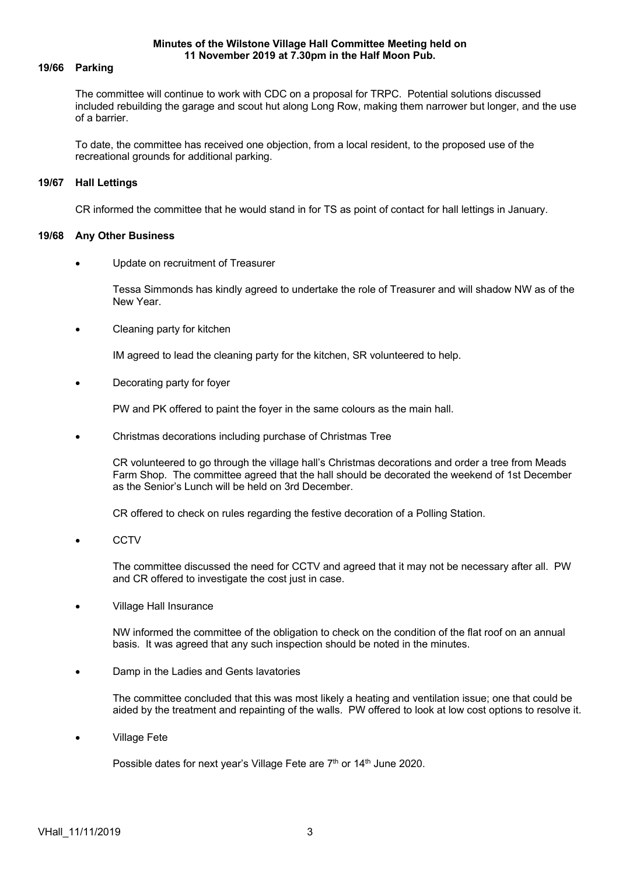#### **Minutes of the Wilstone Village Hall Committee Meeting held on 11 November 2019 at 7.30pm in the Half Moon Pub.**

## **19/66 Parking**

The committee will continue to work with CDC on a proposal for TRPC. Potential solutions discussed included rebuilding the garage and scout hut along Long Row, making them narrower but longer, and the use of a barrier.

To date, the committee has received one objection, from a local resident, to the proposed use of the recreational grounds for additional parking.

## **19/67 Hall Lettings**

CR informed the committee that he would stand in for TS as point of contact for hall lettings in January.

## **19/68 Any Other Business**

• Update on recruitment of Treasurer

Tessa Simmonds has kindly agreed to undertake the role of Treasurer and will shadow NW as of the New Year.

• Cleaning party for kitchen

IM agreed to lead the cleaning party for the kitchen, SR volunteered to help.

• Decorating party for foyer

PW and PK offered to paint the foyer in the same colours as the main hall.

• Christmas decorations including purchase of Christmas Tree

CR volunteered to go through the village hall's Christmas decorations and order a tree from Meads Farm Shop. The committee agreed that the hall should be decorated the weekend of 1st December as the Senior's Lunch will be held on 3rd December.

CR offered to check on rules regarding the festive decoration of a Polling Station.

• CCTV

The committee discussed the need for CCTV and agreed that it may not be necessary after all. PW and CR offered to investigate the cost just in case.

• Village Hall Insurance

NW informed the committee of the obligation to check on the condition of the flat roof on an annual basis. It was agreed that any such inspection should be noted in the minutes.

• Damp in the Ladies and Gents lavatories

The committee concluded that this was most likely a heating and ventilation issue; one that could be aided by the treatment and repainting of the walls. PW offered to look at low cost options to resolve it.

• Village Fete

Possible dates for next year's Village Fete are 7<sup>th</sup> or 14<sup>th</sup> June 2020.